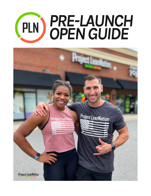# *PRE-LAUNCH* PLN *OPENGUIDE*

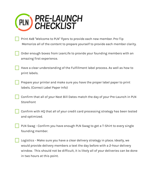

Print 4x8 "Welcome to PLN" flyers to provide each new member. Pro-Tip Memorize all of the content to prepare yourself to provide each member clarity.

Order enough boxes from LeanLife to provide your founding members with an amazing first experience.

Have a clear understanding of the Fulfillment label process. As well as how to print labels.

Prepare your printer and make sure you have the proper label paper to print labels. (Correct Label Paper Info)

Confirm that all of your Next Bill Dates match the day of your Pre-Launch in PLN **Storefront** 

Confirm with HQ that all of your credit card processing strategy has been tested and optimized.

PLN Swag - Confirm you have enough PLN Swag to get a T-Shirt to every single founding member.

Logistics - Make sure you have a clear delivery strategy in place. Ideally, we would provide delivery members a text the day before with a 2-hour delivery window. This should not be difficult, it is likely all of your deliveries can be done in two hours at this point.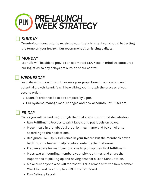

#### *SUNDAY*

Twenty-four hours prior to receiving your first shipment you should be testing the temp on your freezer. Our recommendation is single digits.

## *MONDAY*

LeanLife will be able to provide an estimated ETA. Keep in mind we outsource our logistics so any delays are outside of our control.

#### *WEDNESDAY*

LeanLife will work with you to assess your projections in our system and potential growth. LeanLife will be walking you through the process of your second order.

- LeanLife order needs to be complete by 3 pm.
- Our systems manage meal changes and new accounts until 11:59 pm.

# *FRIDAY*

Today you will be working through the final steps of your first distribution.

- Run Fulfillment Process to print labels and put labels on boxes.
- Place meals in alphabetical order by meal name and box all clients according to their selections.
- Designate Pick-Up & Deliveries in your freezer. Put the member's boxes back into the freezer in alphabetical order by the first name.
- Prepare space for members to come to pick up their first fulfillment.
- Mass text all founding members your pick-up times and share the importance of picking up and having time for a Lean Consultation.
- Make sure anyone who will represent PLN is armed with the New Member Checklist and has completed PLN Staff OnBoard.
- Run Delivery Report.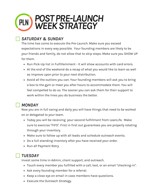

# *SATURDAY & SUNDAY*

The time has come to execute the Pre-Launch. Make sure you exceed expectations in every way possible. Your founding members are likely to be your friends and family, do not allow that to skip steps. Make sure you SHOW UP for them.

- Run Pick-Up list in Fulfillemment It will show accounts with card errors.
- At the end of the weekend do a recap of what you would like to learn as well as improve upon prior to your next distribution.
- Avoid all the outliers you can. Your founding members will ask you to bring a box to the gym or meet you after hours to accommodate them. You will feel compelled to do so. The sooner you can ask them for their support to work within the lines you do business the better.

#### *MONDAY*

Now you are in full swing and daily you will have things that need to be worked on or delegated to your team.

- Today you will be receiving your second fulfillment from LeanLife. Make sure to exercise "FIFO". First in first out guarantees you are properly rotating through your inventory.
- Make sure to follow up with all leads and schedule outreach events.
- Do a full standing inventory after you have received your order.
- Run all Payment Retry

#### *TUESDAY*

Invest some time in Admin, client support, and outreach.

- Touch every member you fulfilled with a call, text, or an email "checking-in".
- Ask every founding member for a referral.
- Keep a close eye on email in case members have questions.
- Execute the Outreach Strategy.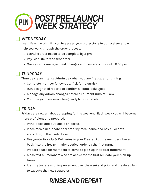

## *WEDNESDAY*

LeanLife will work with you to assess your projections in our system and will help you work through the order process.

- LeanLife order needs to be complete by 3 pm.
- Pay LeanLife for the first order.
- Our systems manage meal changes and new accounts until 11:59 pm.

#### *THURSDAY*

Thursday is an intense Admin day when you are first up and running.

- Complete member follow-ups. (Ask for referrals)
- Run designated reports to confirm all data looks good.
- Manage any admin changes before fulfillment runs at 11 am.
- Confirm you have everything ready to print labels.

# *FRIDAY*

Fridays are now all about prepping for the weekend. Each week you will become more proficient and prepared.

- Print labels and put labels on boxes.
- Place meals in alphabetical order by meal name and box all clients according to their selections.
- Designate Pick-Up & Deliveries in your Freezer. Put the members' boxes back into the freezer in alphabetical order by the first name.
- Prepare space for members to come to pick up their first fulfillment.
- Mass text all members who are active for the first bill date your pick-up times.
- $\bullet$  Identify two areas of improvement over the weekend prior and create a plan to execute the new strategies.

# *[RINSEANDREPEAT](https://www.google.com/search?rlz=1C5CHFA_enUS974&q=Rinse+and+repeat&spell=1&sa=X&ved=2ahUKEwim_JyE673zAhXoRd8KHUZyDHoQkeECKAB6BAgBEDE)*